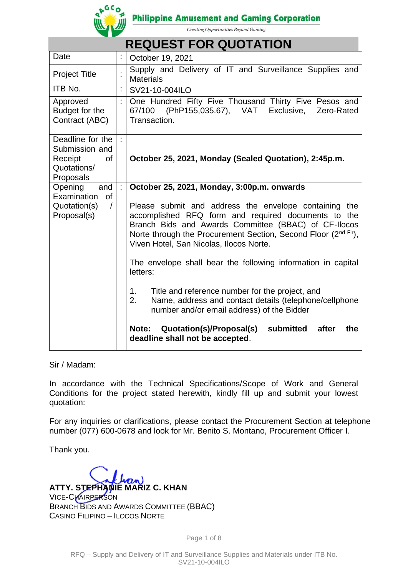

**Philippine Amusement and Gaming Corporation** 

Creating Opportunities Beyond Gaming

|                                                                           |                                            | <b>REQUEST FOR QUOTATION</b>                                                                                                                                                                                                                                                      |  |  |
|---------------------------------------------------------------------------|--------------------------------------------|-----------------------------------------------------------------------------------------------------------------------------------------------------------------------------------------------------------------------------------------------------------------------------------|--|--|
| Date                                                                      |                                            | October 19, 2021                                                                                                                                                                                                                                                                  |  |  |
| <b>Project Title</b>                                                      |                                            | Supply and Delivery of IT and Surveillance Supplies and<br><b>Materials</b>                                                                                                                                                                                                       |  |  |
| ITB No.                                                                   | t                                          | SV21-10-004ILO                                                                                                                                                                                                                                                                    |  |  |
| Approved<br>Budget for the<br>Contract (ABC)                              | t,                                         | One Hundred Fifty Five Thousand Thirty Five Pesos and<br>67/100 (PhP155,035.67), VAT<br>Exclusive,<br>Zero-Rated<br>Transaction.                                                                                                                                                  |  |  |
| Deadline for the<br>Submission and<br><b>of</b><br>Receipt<br>Quotations/ |                                            | October 25, 2021, Monday (Sealed Quotation), 2:45p.m.                                                                                                                                                                                                                             |  |  |
| Proposals<br>Opening<br>and                                               | October 25, 2021, Monday, 3:00p.m. onwards |                                                                                                                                                                                                                                                                                   |  |  |
| Examination<br><b>of</b><br>Quotation(s)<br>$\sqrt{ }$<br>Proposal(s)     |                                            | Please submit and address the envelope containing the<br>accomplished RFQ form and required documents to the<br>Branch Bids and Awards Committee (BBAC) of CF-Ilocos<br>Norte through the Procurement Section, Second Floor (2nd Flr),<br>Viven Hotel, San Nicolas, Ilocos Norte. |  |  |
|                                                                           |                                            | The envelope shall bear the following information in capital<br>letters:                                                                                                                                                                                                          |  |  |
|                                                                           |                                            | Title and reference number for the project, and<br>1.<br>Name, address and contact details (telephone/cellphone<br>2.<br>number and/or email address) of the Bidder                                                                                                               |  |  |
|                                                                           |                                            | Quotation(s)/Proposal(s)<br>submitted<br>Note:<br>after<br>the<br>deadline shall not be accepted.                                                                                                                                                                                 |  |  |

Sir / Madam:

In accordance with the Technical Specifications/Scope of Work and General Conditions for the project stated herewith, kindly fill up and submit your lowest quotation:

For any inquiries or clarifications, please contact the Procurement Section at telephone number (077) 600-0678 and look for Mr. Benito S. Montano, Procurement Officer I.

Thank you.

**ATTY. STEPHANIE MARIZ C. KHAN** VICE-CHAIRPERSON

BRANCH BIDS AND AWARDS COMMITTEE (BBAC) CASINO FILIPINO – ILOCOS NORTE

Page 1 of 8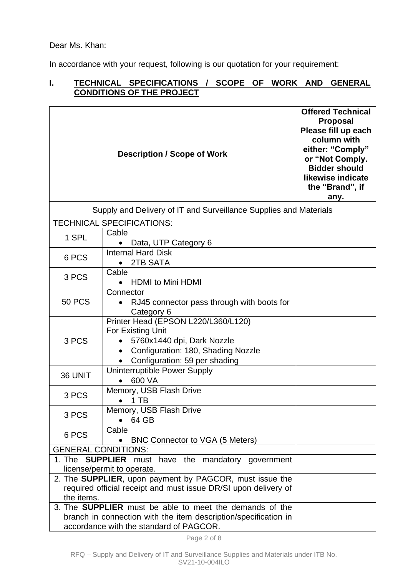Dear Ms. Khan:

In accordance with your request, following is our quotation for your requirement:

## **I. TECHNICAL SPECIFICATIONS / SCOPE OF WORK AND GENERAL CONDITIONS OF THE PROJECT**

|                            | <b>Description / Scope of Work</b>                                                                                                                                           | <b>Offered Technical</b><br><b>Proposal</b><br>Please fill up each<br>column with<br>either: "Comply"<br>or "Not Comply.<br><b>Bidder should</b><br>likewise indicate<br>the "Brand", if<br>any. |
|----------------------------|------------------------------------------------------------------------------------------------------------------------------------------------------------------------------|--------------------------------------------------------------------------------------------------------------------------------------------------------------------------------------------------|
|                            | Supply and Delivery of IT and Surveillance Supplies and Materials                                                                                                            |                                                                                                                                                                                                  |
|                            | <b>TECHNICAL SPECIFICATIONS:</b>                                                                                                                                             |                                                                                                                                                                                                  |
| 1 SPL                      | Cable<br>Data, UTP Category 6<br>$\bullet$                                                                                                                                   |                                                                                                                                                                                                  |
| 6 PCS                      | <b>Internal Hard Disk</b><br>2TB SATA<br>$\bullet$                                                                                                                           |                                                                                                                                                                                                  |
| 3 PCS                      | Cable<br><b>HDMI</b> to Mini HDMI<br>$\bullet$                                                                                                                               |                                                                                                                                                                                                  |
| <b>50 PCS</b>              | Connector<br>RJ45 connector pass through with boots for<br>Category 6                                                                                                        |                                                                                                                                                                                                  |
| 3 PCS                      | Printer Head (EPSON L220/L360/L120)<br>For Existing Unit<br>5760x1440 dpi, Dark Nozzle<br>Configuration: 180, Shading Nozzle<br>$\bullet$<br>Configuration: 59 per shading   |                                                                                                                                                                                                  |
| 36 UNIT                    | Uninterruptible Power Supply<br>600 VA                                                                                                                                       |                                                                                                                                                                                                  |
| 3 PCS                      | Memory, USB Flash Drive<br>1 TB                                                                                                                                              |                                                                                                                                                                                                  |
| 3 PCS                      | Memory, USB Flash Drive<br>64 GB<br>$\bullet$                                                                                                                                |                                                                                                                                                                                                  |
| 6 PCS                      | Cable<br><b>BNC Connector to VGA (5 Meters)</b>                                                                                                                              |                                                                                                                                                                                                  |
| <b>GENERAL CONDITIONS:</b> |                                                                                                                                                                              |                                                                                                                                                                                                  |
|                            | 1. The <b>SUPPLIER</b> must have the mandatory government<br>license/permit to operate.                                                                                      |                                                                                                                                                                                                  |
| the items.                 | 2. The SUPPLIER, upon payment by PAGCOR, must issue the<br>required official receipt and must issue DR/SI upon delivery of                                                   |                                                                                                                                                                                                  |
|                            | 3. The <b>SUPPLIER</b> must be able to meet the demands of the<br>branch in connection with the item description/specification in<br>accordance with the standard of PAGCOR. |                                                                                                                                                                                                  |

Page 2 of 8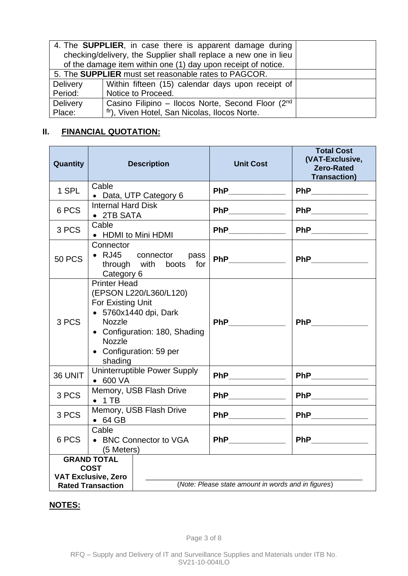|                                                                 | 4. The <b>SUPPLIER</b> , in case there is apparent damage during |  |  |
|-----------------------------------------------------------------|------------------------------------------------------------------|--|--|
| checking/delivery, the Supplier shall replace a new one in lieu |                                                                  |  |  |
| of the damage item within one (1) day upon receipt of notice.   |                                                                  |  |  |
|                                                                 | 5. The <b>SUPPLIER</b> must set reasonable rates to PAGCOR.      |  |  |
| <b>Delivery</b>                                                 | Within fifteen (15) calendar days upon receipt of                |  |  |
| Period:                                                         | Notice to Proceed.                                               |  |  |
| <b>Delivery</b>                                                 | Casino Filipino - Ilocos Norte, Second Floor (2nd                |  |  |
| Place:                                                          | fir), Viven Hotel, San Nicolas, Ilocos Norte.                    |  |  |

# **II. FINANCIAL QUOTATION:**

| <b>Quantity</b> | <b>Description</b>                                                                                                                                                                                   | <b>Unit Cost</b>                                                                                                                                                                                                                   | <b>Total Cost</b><br>(VAT-Exclusive,<br><b>Zero-Rated</b><br><b>Transaction)</b> |
|-----------------|------------------------------------------------------------------------------------------------------------------------------------------------------------------------------------------------------|------------------------------------------------------------------------------------------------------------------------------------------------------------------------------------------------------------------------------------|----------------------------------------------------------------------------------|
| 1 SPL           | Cable<br>• Data, UTP Category 6                                                                                                                                                                      | PhP                                                                                                                                                                                                                                |                                                                                  |
| 6 PCS           | <b>Internal Hard Disk</b><br>• 2TB SATA                                                                                                                                                              |                                                                                                                                                                                                                                    |                                                                                  |
| 3 PCS           | Cable<br>• HDMI to Mini HDMI                                                                                                                                                                         |                                                                                                                                                                                                                                    |                                                                                  |
| <b>50 PCS</b>   | Connector<br>$\bullet$ RJ45<br>connector pass<br>through with boots<br>for<br>Category 6                                                                                                             |                                                                                                                                                                                                                                    | <b>PhP</b>                                                                       |
| 3 PCS           | <b>Printer Head</b><br>(EPSON L220/L360/L120)<br>For Existing Unit<br>• 5760x1440 dpi, Dark<br><b>Nozzle</b><br>• Configuration: 180, Shading<br><b>Nozzle</b><br>• Configuration: 59 per<br>shading |                                                                                                                                                                                                                                    |                                                                                  |
| 36 UNIT         | Uninterruptible Power Supply<br>$\bullet$ 600 VA                                                                                                                                                     | <b>PhP</b>                                                                                                                                                                                                                         |                                                                                  |
| 3 PCS           | Memory, USB Flash Drive<br>$\bullet$ 1 TB                                                                                                                                                            | <b>PhP</b> and the state of the state of the state of the state of the state of the state of the state of the state of the state of the state of the state of the state of the state of the state of the state of the state of the | PhP_____________                                                                 |
| 3 PCS           | Memory, USB Flash Drive<br>$\bullet$ 64 GB                                                                                                                                                           | PhP ______________                                                                                                                                                                                                                 | <b>PhP_____________</b>                                                          |
| 6 PCS           | Cable<br>• BNC Connector to VGA<br>(5 Meters)                                                                                                                                                        | <b>PhP Example 2</b>                                                                                                                                                                                                               |                                                                                  |
|                 | <b>GRAND TOTAL</b><br><b>COST</b><br><b>VAT Exclusive, Zero</b><br><b>Rated Transaction</b>                                                                                                          | (Note: Please state amount in words and in figures)                                                                                                                                                                                |                                                                                  |

# **NOTES:**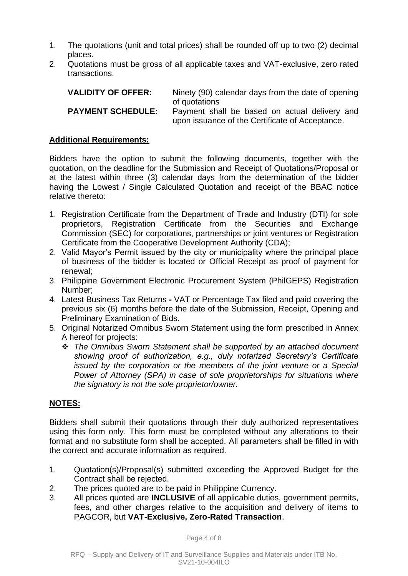- 1. The quotations (unit and total prices) shall be rounded off up to two (2) decimal places.
- 2. Quotations must be gross of all applicable taxes and VAT-exclusive, zero rated transactions.

| <b>VALIDITY OF OFFER:</b> | Ninety (90) calendar days from the date of opening                                                                |
|---------------------------|-------------------------------------------------------------------------------------------------------------------|
| <b>PAYMENT SCHEDULE:</b>  | of quotations<br>Payment shall be based on actual delivery and<br>upon issuance of the Certificate of Acceptance. |

### **Additional Requirements:**

Bidders have the option to submit the following documents, together with the quotation, on the deadline for the Submission and Receipt of Quotations/Proposal or at the latest within three (3) calendar days from the determination of the bidder having the Lowest / Single Calculated Quotation and receipt of the BBAC notice relative thereto:

- 1. Registration Certificate from the Department of Trade and Industry (DTI) for sole proprietors, Registration Certificate from the Securities and Exchange Commission (SEC) for corporations, partnerships or joint ventures or Registration Certificate from the Cooperative Development Authority (CDA);
- 2. Valid Mayor's Permit issued by the city or municipality where the principal place of business of the bidder is located or Official Receipt as proof of payment for renewal;
- 3. Philippine Government Electronic Procurement System (PhilGEPS) Registration Number;
- 4. Latest Business Tax Returns **-** VAT or Percentage Tax filed and paid covering the previous six (6) months before the date of the Submission, Receipt, Opening and Preliminary Examination of Bids.
- 5. Original Notarized Omnibus Sworn Statement using the form prescribed in Annex A hereof for projects:
	- ❖ *The Omnibus Sworn Statement shall be supported by an attached document showing proof of authorization, e.g., duly notarized Secretary's Certificate issued by the corporation or the members of the joint venture or a Special Power of Attorney (SPA) in case of sole proprietorships for situations where the signatory is not the sole proprietor/owner.*

### **NOTES:**

Bidders shall submit their quotations through their duly authorized representatives using this form only. This form must be completed without any alterations to their format and no substitute form shall be accepted. All parameters shall be filled in with the correct and accurate information as required.

- 1. Quotation(s)/Proposal(s) submitted exceeding the Approved Budget for the Contract shall be rejected.
- 2. The prices quoted are to be paid in Philippine Currency.
- 3. All prices quoted are **INCLUSIVE** of all applicable duties, government permits, fees, and other charges relative to the acquisition and delivery of items to PAGCOR, but **VAT-Exclusive, Zero-Rated Transaction**.

Page 4 of 8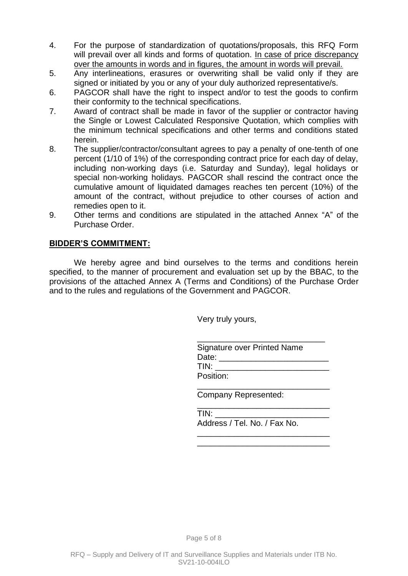- 4. For the purpose of standardization of quotations/proposals, this RFQ Form will prevail over all kinds and forms of quotation. In case of price discrepancy over the amounts in words and in figures, the amount in words will prevail.
- 5. Any interlineations, erasures or overwriting shall be valid only if they are signed or initiated by you or any of your duly authorized representative/s.
- 6. PAGCOR shall have the right to inspect and/or to test the goods to confirm their conformity to the technical specifications.
- 7. Award of contract shall be made in favor of the supplier or contractor having the Single or Lowest Calculated Responsive Quotation, which complies with the minimum technical specifications and other terms and conditions stated herein.
- 8. The supplier/contractor/consultant agrees to pay a penalty of one-tenth of one percent (1/10 of 1%) of the corresponding contract price for each day of delay, including non-working days (i.e. Saturday and Sunday), legal holidays or special non-working holidays. PAGCOR shall rescind the contract once the cumulative amount of liquidated damages reaches ten percent (10%) of the amount of the contract, without prejudice to other courses of action and remedies open to it.
- 9. Other terms and conditions are stipulated in the attached Annex "A" of the Purchase Order.

## **BIDDER'S COMMITMENT:**

We hereby agree and bind ourselves to the terms and conditions herein specified, to the manner of procurement and evaluation set up by the BBAC, to the provisions of the attached Annex A (Terms and Conditions) of the Purchase Order and to the rules and regulations of the Government and PAGCOR.

Very truly yours,

\_\_\_\_\_\_\_\_\_\_\_\_\_\_\_\_\_\_\_\_\_\_\_\_\_\_\_\_ Signature over Printed Name Date: \_\_\_\_\_\_\_\_\_\_\_\_\_\_\_\_\_\_\_\_\_\_\_\_  $TIN:$ Position:

\_\_\_\_\_\_\_\_\_\_\_\_\_\_\_\_\_\_\_\_\_\_\_\_\_\_\_\_\_ Company Represented:

\_\_\_\_\_\_\_\_\_\_\_\_\_\_\_\_\_\_\_\_\_\_\_\_\_\_\_\_\_  $TIN:$ 

Address / Tel. No. / Fax No. \_\_\_\_\_\_\_\_\_\_\_\_\_\_\_\_\_\_\_\_\_\_\_\_\_\_\_\_\_

\_\_\_\_\_\_\_\_\_\_\_\_\_\_\_\_\_\_\_\_\_\_\_\_\_\_\_\_\_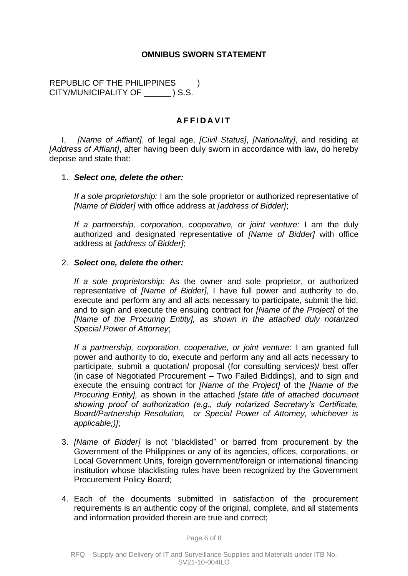### **OMNIBUS SWORN STATEMENT**

REPUBLIC OF THE PHILIPPINES ) CITY/MUNICIPALITY OF \_\_\_\_\_\_ ) S.S.

### **A F F I D A V I T**

I, *[Name of Affiant]*, of legal age, *[Civil Status]*, *[Nationality]*, and residing at *[Address of Affiant]*, after having been duly sworn in accordance with law, do hereby depose and state that:

#### 1. *Select one, delete the other:*

*If a sole proprietorship:* I am the sole proprietor or authorized representative of *[Name of Bidder]* with office address at *[address of Bidder]*;

*If a partnership, corporation, cooperative, or joint venture:* I am the duly authorized and designated representative of *[Name of Bidder]* with office address at *[address of Bidder]*;

#### 2. *Select one, delete the other:*

*If a sole proprietorship:* As the owner and sole proprietor, or authorized representative of *[Name of Bidder]*, I have full power and authority to do, execute and perform any and all acts necessary to participate, submit the bid, and to sign and execute the ensuing contract for *[Name of the Project]* of the *[Name of the Procuring Entity], as shown in the attached duly notarized Special Power of Attorney*;

*If a partnership, corporation, cooperative, or joint venture:* I am granted full power and authority to do, execute and perform any and all acts necessary to participate, submit a quotation/ proposal (for consulting services)/ best offer (in case of Negotiated Procurement – Two Failed Biddings), and to sign and execute the ensuing contract for *[Name of the Project]* of the *[Name of the Procuring Entity],* as shown in the attached *[state title of attached document showing proof of authorization (e.g., duly notarized Secretary's Certificate, Board/Partnership Resolution, or Special Power of Attorney, whichever is applicable;)]*;

- 3. *[Name of Bidder]* is not "blacklisted" or barred from procurement by the Government of the Philippines or any of its agencies, offices, corporations, or Local Government Units, foreign government/foreign or international financing institution whose blacklisting rules have been recognized by the Government Procurement Policy Board;
- 4. Each of the documents submitted in satisfaction of the procurement requirements is an authentic copy of the original, complete, and all statements and information provided therein are true and correct;

Page 6 of 8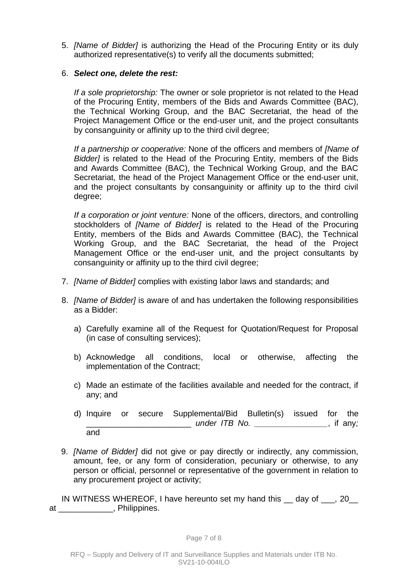5. *[Name of Bidder]* is authorizing the Head of the Procuring Entity or its duly authorized representative(s) to verify all the documents submitted;

### 6. *Select one, delete the rest:*

*If a sole proprietorship:* The owner or sole proprietor is not related to the Head of the Procuring Entity, members of the Bids and Awards Committee (BAC), the Technical Working Group, and the BAC Secretariat, the head of the Project Management Office or the end-user unit, and the project consultants by consanguinity or affinity up to the third civil degree;

*If a partnership or cooperative:* None of the officers and members of *[Name of Bidder]* is related to the Head of the Procuring Entity, members of the Bids and Awards Committee (BAC), the Technical Working Group, and the BAC Secretariat, the head of the Project Management Office or the end-user unit, and the project consultants by consanguinity or affinity up to the third civil degree;

*If a corporation or joint venture:* None of the officers, directors, and controlling stockholders of *[Name of Bidder]* is related to the Head of the Procuring Entity, members of the Bids and Awards Committee (BAC), the Technical Working Group, and the BAC Secretariat, the head of the Project Management Office or the end-user unit, and the project consultants by consanguinity or affinity up to the third civil degree;

- 7. *[Name of Bidder]* complies with existing labor laws and standards; and
- 8. *[Name of Bidder]* is aware of and has undertaken the following responsibilities as a Bidder:
	- a) Carefully examine all of the Request for Quotation/Request for Proposal (in case of consulting services);
	- b) Acknowledge all conditions, local or otherwise, affecting the implementation of the Contract;
	- c) Made an estimate of the facilities available and needed for the contract, if any; and
	- d) Inquire or secure Supplemental/Bid Bulletin(s) issued for the \_\_\_\_\_\_\_\_\_\_\_\_\_\_\_\_\_\_\_\_\_\_\_ *under ITB No. \_\_\_\_\_\_\_\_\_\_\_\_\_\_\_\_*, if any*;*  and
- 9. *[Name of Bidder]* did not give or pay directly or indirectly, any commission, amount, fee, or any form of consideration, pecuniary or otherwise, to any person or official, personnel or representative of the government in relation to any procurement project or activity;

IN WITNESS WHEREOF, I have hereunto set my hand this day of , 20 at extensive property philippines.